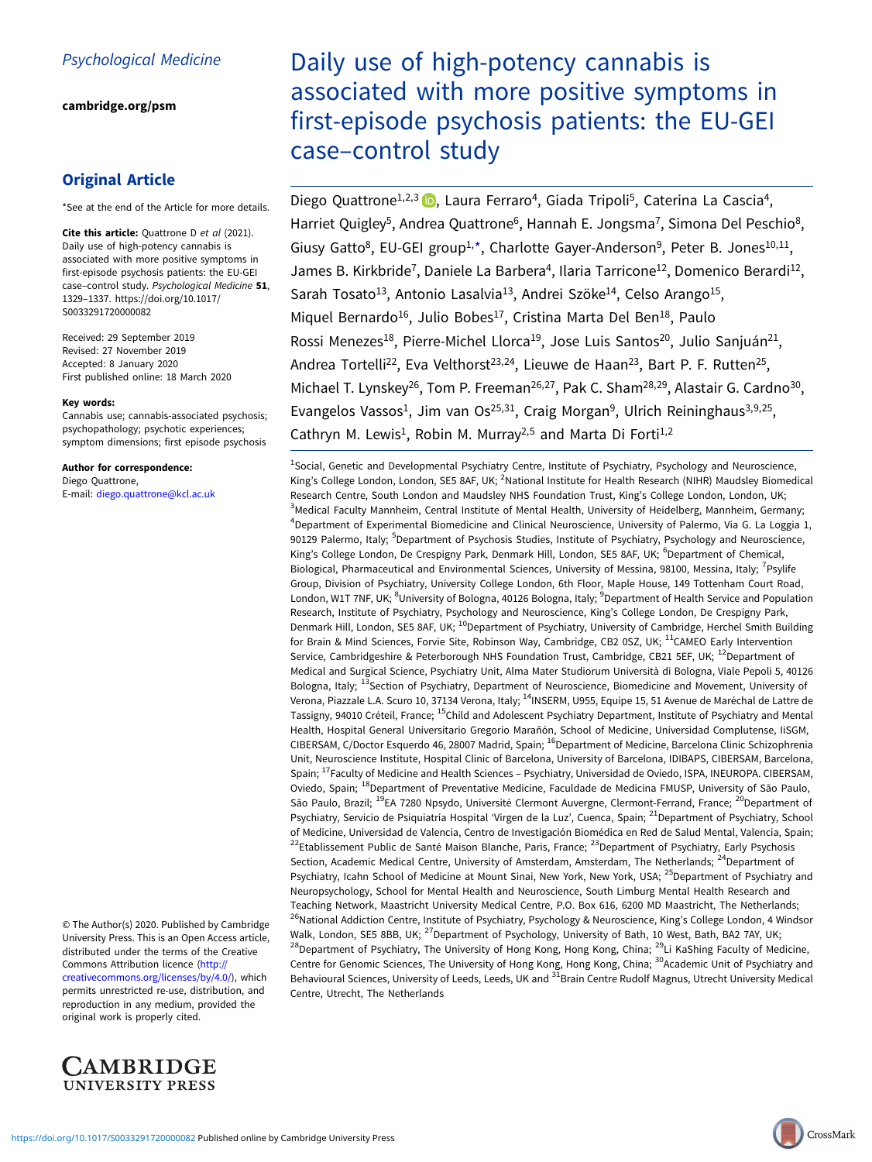[cambridge.org/psm](https://www.cambridge.org/psm)

# Original Article

\*See at the end of the Article for more details.

Cite this article: Quattrone D et al (2021). Daily use of high-potency cannabis is associated with more positive symptoms in first-episode psychosis patients: the EU-GEI case-control study. Psychological Medicine 51, 1329–1337. [https://doi.org/10.1017/](https://doi.org/10.1017/S0033291720000082) [S0033291720000082](https://doi.org/10.1017/S0033291720000082)

Received: 29 September 2019 Revised: 27 November 2019 Accepted: 8 January 2020 First published online: 18 March 2020

#### Key words:

Cannabis use; cannabis-associated psychosis; psychopathology; psychotic experiences; symptom dimensions; first episode psychosis

Author for correspondence: Diego Quattrone,

E-mail: [diego.quattrone@kcl.ac.uk](mailto:diego.quattrone@kcl.ac.uk)

© The Author(s) 2020. Published by Cambridge University Press. This is an Open Access article, distributed under the terms of the Creative Commons Attribution licence ([http://](http://creativecommons.org/licenses/by/4.0/) [creativecommons.org/licenses/by/4.0/](http://creativecommons.org/licenses/by/4.0/)), which permits unrestricted re-use, distribution, and reproduction in any medium, provided the original work is properly cited.



# Daily use of high-potency cannabis is associated with more positive symptoms in first-episode psychosis patients: the EU-GEI case–control study

Diego Quattrone<sup>1[,](https://orcid.org/0000-0002-6051-8309)2,3</sup> (D. Laura Ferraro<sup>4</sup>, Giada Tripoli<sup>5</sup>, Caterina La Cascia<sup>4</sup>, Harriet Quigley<sup>5</sup>, Andrea Quattrone<sup>6</sup>, Hannah E. Jongsma<sup>7</sup>, Simona Del Peschio<sup>8</sup>, Giusy Gatto<sup>8</sup>, EU-GEI group<sup>1,\*</sup>, Charlotte Gayer-Anderson<sup>9</sup>, Peter B. Jones<sup>10,11</sup>, James B. Kirkbride<sup>7</sup>, Daniele La Barbera<sup>4</sup>, Ilaria Tarricone<sup>12</sup>, Domenico Berardi<sup>12</sup>, Sarah Tosato<sup>13</sup>, Antonio Lasalvia<sup>13</sup>, Andrei Szöke<sup>14</sup>, Celso Arango<sup>15</sup>, Miquel Bernardo<sup>16</sup>, Julio Bobes<sup>17</sup>, Cristina Marta Del Ben<sup>18</sup>, Paulo Rossi Menezes<sup>18</sup>, Pierre-Michel Llorca<sup>19</sup>, Jose Luis Santos<sup>20</sup>, Julio Sanjuán<sup>21</sup>, Andrea Tortelli<sup>22</sup>, Eva Velthorst<sup>23,24</sup>, Lieuwe de Haan<sup>23</sup>, Bart P. F. Rutten<sup>25</sup>, Michael T. Lynskey<sup>26</sup>, Tom P. Freeman<sup>26,27</sup>, Pak C. Sham<sup>28,29</sup>, Alastair G. Cardno<sup>30</sup>, Evangelos Vassos<sup>1</sup>, Jim van Os<sup>25,31</sup>, Craig Morgan<sup>9</sup>, Ulrich Reininghaus<sup>3,9,25</sup>, Cathryn M. Lewis<sup>1</sup>, Robin M. Murray<sup>2,5</sup> and Marta Di Forti<sup>1,2</sup>

<sup>1</sup>Social, Genetic and Developmental Psychiatry Centre, Institute of Psychiatry, Psychology and Neuroscience, King's College London, London, SE5 8AF, UK; <sup>2</sup>National Institute for Health Research (NIHR) Maudsley Biomedical Research Centre, South London and Maudsley NHS Foundation Trust, King's College London, London, UK; <sup>3</sup>Medical Faculty Mannheim, Central Institute of Mental Health, University of Heidelberg, Mannheim, Germany; 4 Department of Experimental Biomedicine and Clinical Neuroscience, University of Palermo, Via G. La Loggia 1, 90129 Palermo, Italy; <sup>5</sup>Department of Psychosis Studies, Institute of Psychiatry, Psychology and Neuroscience, King's College London, De Crespigny Park, Denmark Hill, London, SE5 8AF, UK; <sup>6</sup>Department of Chemical, Biological, Pharmaceutical and Environmental Sciences, University of Messina, 98100, Messina, Italy; <sup>7</sup>Psylife Group, Division of Psychiatry, University College London, 6th Floor, Maple House, 149 Tottenham Court Road, London, W1T 7NF, UK; <sup>8</sup>University of Bologna, 40126 Bologna, Italy; <sup>9</sup>Department of Health Service and Population Research, Institute of Psychiatry, Psychology and Neuroscience, King's College London, De Crespigny Park, Denmark Hill, London, SE5 8AF, UK; <sup>10</sup>Department of Psychiatry, University of Cambridge, Herchel Smith Building for Brain & Mind Sciences, Forvie Site, Robinson Way, Cambridge, CB2 0SZ, UK; <sup>11</sup>CAMEO Early Intervention Service, Cambridgeshire & Peterborough NHS Foundation Trust, Cambridge, CB21 5EF, UK; <sup>12</sup>Department of Medical and Surgical Science, Psychiatry Unit, Alma Mater Studiorum Università di Bologna, Viale Pepoli 5, 40126 Bologna, Italy; <sup>13</sup>Section of Psychiatry, Department of Neuroscience, Biomedicine and Movement, University of Verona, Piazzale L.A. Scuro 10, 37134 Verona, Italy; <sup>14</sup>INSERM, U955, Equipe 15, 51 Avenue de Maréchal de Lattre de Tassigny, 94010 Créteil, France; <sup>15</sup>Child and Adolescent Psychiatry Department, Institute of Psychiatry and Mental Health, Hospital General Universitario Gregorio Marañón, School of Medicine, Universidad Complutense, IiSGM, CIBERSAM, C/Doctor Esquerdo 46, 28007 Madrid, Spain; <sup>16</sup>Department of Medicine, Barcelona Clinic Schizophrenia Unit, Neuroscience Institute, Hospital Clinic of Barcelona, University of Barcelona, IDIBAPS, CIBERSAM, Barcelona, Spain; <sup>17</sup>Faculty of Medicine and Health Sciences - Psychiatry, Universidad de Oviedo, ISPA, INEUROPA. CIBERSAM, Oviedo, Spain; <sup>18</sup>Department of Preventative Medicine, Faculdade de Medicina FMUSP, University of São Paulo, São Paulo, Brazil; <sup>19</sup>EA 7280 Npsydo, Université Clermont Auvergne, Clermont-Ferrand, France; <sup>20</sup>Department of Psychiatry, Servicio de Psiquiatría Hospital 'Virgen de la Luz', Cuenca, Spain; <sup>21</sup>Department of Psychiatry, School of Medicine, Universidad de Valencia, Centro de Investigación Biomédica en Red de Salud Mental, Valencia, Spain; <sup>22</sup>Etablissement Public de Santé Maison Blanche, Paris, France; <sup>23</sup>Department of Psychiatry, Early Psychosis Section, Academic Medical Centre, University of Amsterdam, Amsterdam, The Netherlands; <sup>24</sup>Department of Psychiatry, Icahn School of Medicine at Mount Sinai, New York, New York, USA; <sup>25</sup>Department of Psychiatry and Neuropsychology, School for Mental Health and Neuroscience, South Limburg Mental Health Research and Teaching Network, Maastricht University Medical Centre, P.O. Box 616, 6200 MD Maastricht, The Netherlands; <sup>26</sup>National Addiction Centre, Institute of Psychiatry, Psychology & Neuroscience, King's College London, 4 Windsor Walk, London, SE5 8BB, UK; <sup>27</sup>Department of Psychology, University of Bath, 10 West, Bath, BA2 7AY, UK; <sup>28</sup>Department of Psychiatry, The University of Hong Kong, Hong Kong, China; <sup>29</sup>Li KaShing Faculty of Medicine, Centre for Genomic Sciences, The University of Hong Kong, Hong Kong, China; <sup>30</sup>Academic Unit of Psychiatry and Behavioural Sciences, University of Leeds, Leeds, UK and <sup>31</sup>Brain Centre Rudolf Magnus, Utrecht University Medical Centre, Utrecht, The Netherlands

CrossMark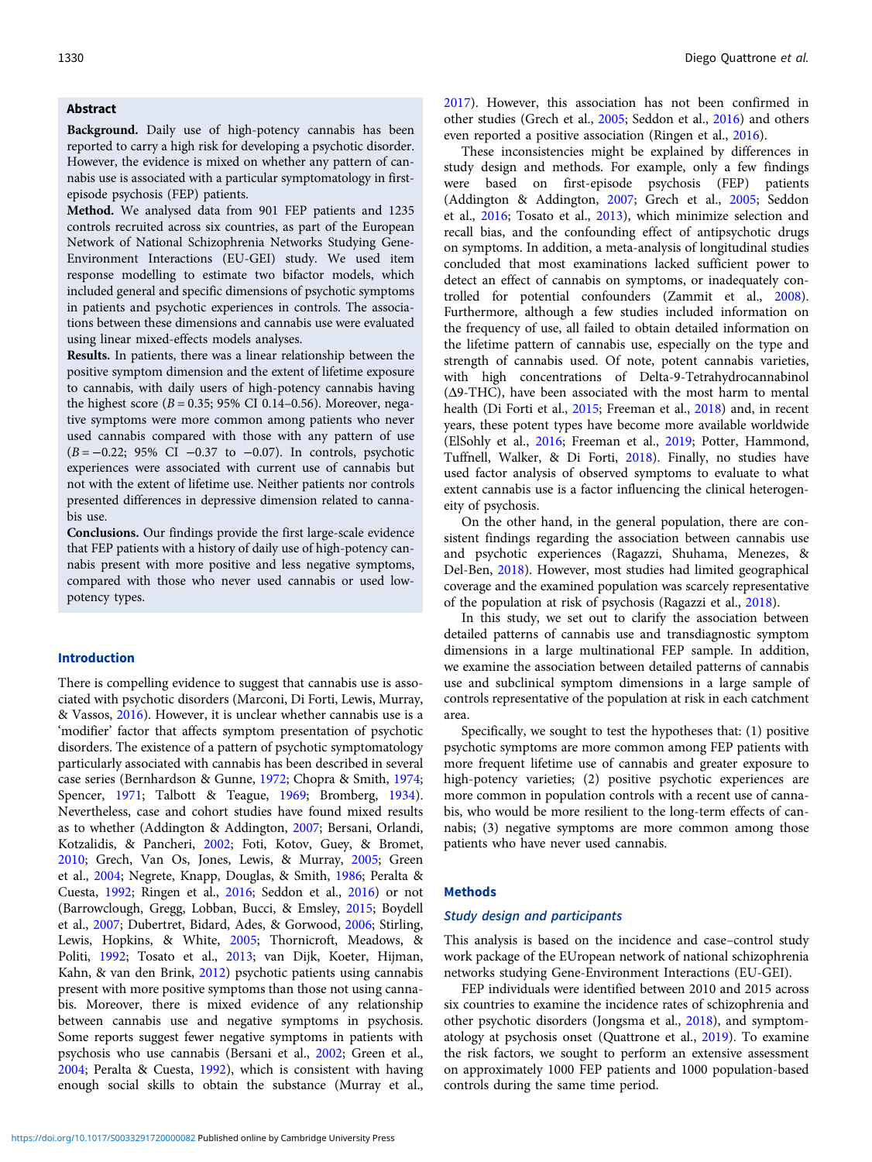# Abstract

Background. Daily use of high-potency cannabis has been reported to carry a high risk for developing a psychotic disorder. However, the evidence is mixed on whether any pattern of cannabis use is associated with a particular symptomatology in firstepisode psychosis (FEP) patients.

Method. We analysed data from 901 FEP patients and 1235 controls recruited across six countries, as part of the European Network of National Schizophrenia Networks Studying Gene-Environment Interactions (EU-GEI) study. We used item response modelling to estimate two bifactor models, which included general and specific dimensions of psychotic symptoms in patients and psychotic experiences in controls. The associations between these dimensions and cannabis use were evaluated using linear mixed-effects models analyses.

Results. In patients, there was a linear relationship between the positive symptom dimension and the extent of lifetime exposure to cannabis, with daily users of high-potency cannabis having the highest score ( $B = 0.35$ ; 95% CI 0.14–0.56). Moreover, negative symptoms were more common among patients who never used cannabis compared with those with any pattern of use  $(B = -0.22; 95\% \text{ CI} -0.37 \text{ to } -0.07)$ . In controls, psychotic experiences were associated with current use of cannabis but not with the extent of lifetime use. Neither patients nor controls presented differences in depressive dimension related to cannabis use.

Conclusions. Our findings provide the first large-scale evidence that FEP patients with a history of daily use of high-potency cannabis present with more positive and less negative symptoms, compared with those who never used cannabis or used lowpotency types.

#### Introduction

There is compelling evidence to suggest that cannabis use is associated with psychotic disorders (Marconi, Di Forti, Lewis, Murray, & Vassos, [2016\)](#page-7-0). However, it is unclear whether cannabis use is a 'modifier' factor that affects symptom presentation of psychotic disorders. The existence of a pattern of psychotic symptomatology particularly associated with cannabis has been described in several case series (Bernhardson & Gunne, [1972;](#page-6-0) Chopra & Smith, [1974](#page-7-0); Spencer, [1971](#page-7-0); Talbott & Teague, [1969](#page-8-0); Bromberg, [1934\)](#page-7-0). Nevertheless, case and cohort studies have found mixed results as to whether (Addington & Addington, [2007](#page-6-0); Bersani, Orlandi, Kotzalidis, & Pancheri, [2002](#page-6-0); Foti, Kotov, Guey, & Bromet, [2010;](#page-7-0) Grech, Van Os, Jones, Lewis, & Murray, [2005](#page-7-0); Green et al., [2004](#page-7-0); Negrete, Knapp, Douglas, & Smith, [1986](#page-7-0); Peralta & Cuesta, [1992;](#page-7-0) Ringen et al., [2016](#page-7-0); Seddon et al., [2016](#page-7-0)) or not (Barrowclough, Gregg, Lobban, Bucci, & Emsley, [2015;](#page-6-0) Boydell et al., [2007;](#page-7-0) Dubertret, Bidard, Ades, & Gorwood, [2006](#page-7-0); Stirling, Lewis, Hopkins, & White, [2005](#page-8-0); Thornicroft, Meadows, & Politi, [1992](#page-8-0); Tosato et al., [2013;](#page-8-0) van Dijk, Koeter, Hijman, Kahn, & van den Brink, [2012](#page-8-0)) psychotic patients using cannabis present with more positive symptoms than those not using cannabis. Moreover, there is mixed evidence of any relationship between cannabis use and negative symptoms in psychosis. Some reports suggest fewer negative symptoms in patients with psychosis who use cannabis (Bersani et al., [2002;](#page-6-0) Green et al., [2004;](#page-7-0) Peralta & Cuesta, [1992\)](#page-7-0), which is consistent with having enough social skills to obtain the substance (Murray et al.,

[2017\)](#page-7-0). However, this association has not been confirmed in other studies (Grech et al., [2005;](#page-7-0) Seddon et al., [2016](#page-7-0)) and others even reported a positive association (Ringen et al., [2016\)](#page-7-0).

These inconsistencies might be explained by differences in study design and methods. For example, only a few findings were based on first-episode psychosis (FEP) patients (Addington & Addington, [2007](#page-6-0); Grech et al., [2005;](#page-7-0) Seddon et al., [2016;](#page-7-0) Tosato et al., [2013\)](#page-8-0), which minimize selection and recall bias, and the confounding effect of antipsychotic drugs on symptoms. In addition, a meta-analysis of longitudinal studies concluded that most examinations lacked sufficient power to detect an effect of cannabis on symptoms, or inadequately controlled for potential confounders (Zammit et al., [2008](#page-8-0)). Furthermore, although a few studies included information on the frequency of use, all failed to obtain detailed information on the lifetime pattern of cannabis use, especially on the type and strength of cannabis used. Of note, potent cannabis varieties, with high concentrations of Delta-9-Tetrahydrocannabinol (Δ9-THC), have been associated with the most harm to mental health (Di Forti et al., [2015](#page-7-0); Freeman et al., [2018\)](#page-7-0) and, in recent years, these potent types have become more available worldwide (ElSohly et al., [2016](#page-7-0); Freeman et al., [2019;](#page-7-0) Potter, Hammond, Tuffnell, Walker, & Di Forti, [2018\)](#page-7-0). Finally, no studies have used factor analysis of observed symptoms to evaluate to what extent cannabis use is a factor influencing the clinical heterogeneity of psychosis.

On the other hand, in the general population, there are consistent findings regarding the association between cannabis use and psychotic experiences (Ragazzi, Shuhama, Menezes, & Del-Ben, [2018](#page-7-0)). However, most studies had limited geographical coverage and the examined population was scarcely representative of the population at risk of psychosis (Ragazzi et al., [2018\)](#page-7-0).

In this study, we set out to clarify the association between detailed patterns of cannabis use and transdiagnostic symptom dimensions in a large multinational FEP sample. In addition, we examine the association between detailed patterns of cannabis use and subclinical symptom dimensions in a large sample of controls representative of the population at risk in each catchment area.

Specifically, we sought to test the hypotheses that: (1) positive psychotic symptoms are more common among FEP patients with more frequent lifetime use of cannabis and greater exposure to high-potency varieties; (2) positive psychotic experiences are more common in population controls with a recent use of cannabis, who would be more resilient to the long-term effects of cannabis; (3) negative symptoms are more common among those patients who have never used cannabis.

# **Methods**

#### Study design and participants

This analysis is based on the incidence and case–control study work package of the EUropean network of national schizophrenia networks studying Gene-Environment Interactions (EU-GEI).

FEP individuals were identified between 2010 and 2015 across six countries to examine the incidence rates of schizophrenia and other psychotic disorders (Jongsma et al., [2018](#page-7-0)), and symptomatology at psychosis onset (Quattrone et al., [2019\)](#page-7-0). To examine the risk factors, we sought to perform an extensive assessment on approximately 1000 FEP patients and 1000 population-based controls during the same time period.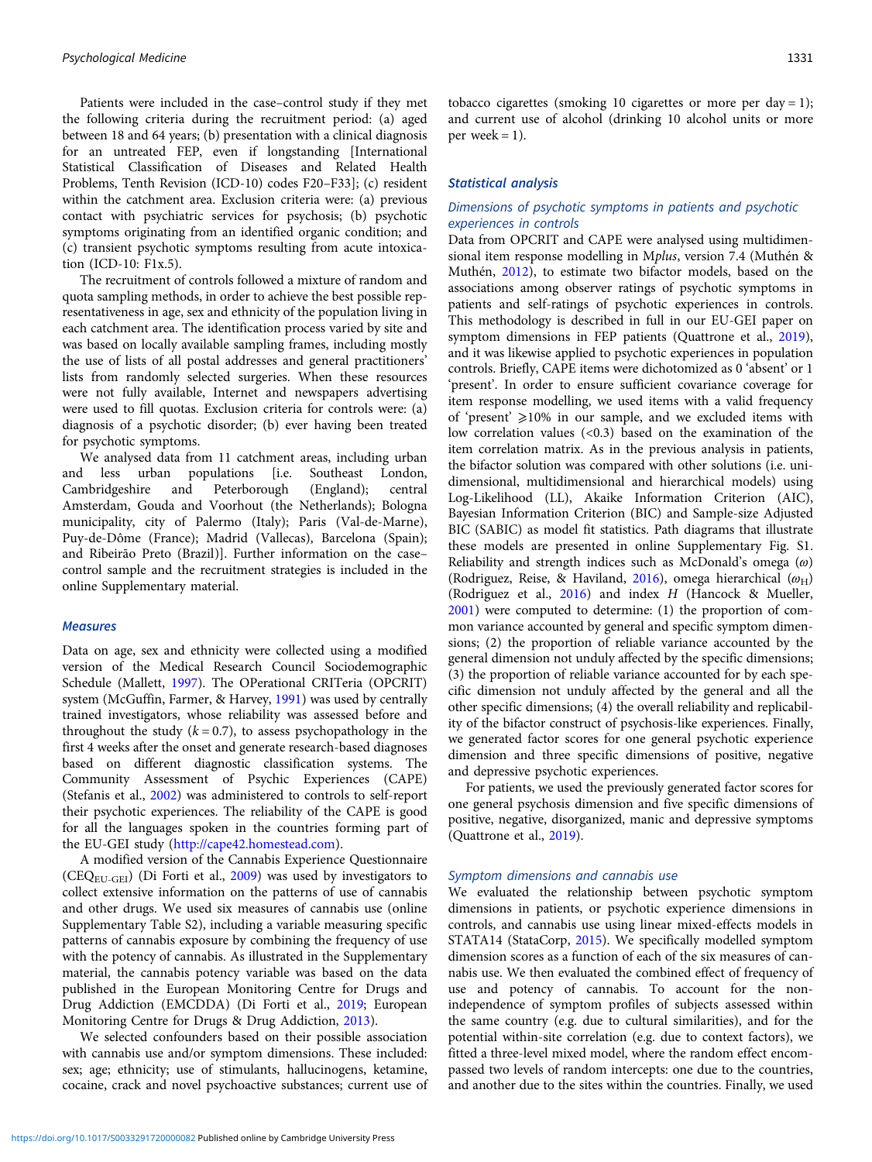Patients were included in the case–control study if they met the following criteria during the recruitment period: (a) aged between 18 and 64 years; (b) presentation with a clinical diagnosis for an untreated FEP, even if longstanding [International Statistical Classification of Diseases and Related Health Problems, Tenth Revision (ICD-10) codes F20–F33]; (c) resident within the catchment area. Exclusion criteria were: (a) previous contact with psychiatric services for psychosis; (b) psychotic symptoms originating from an identified organic condition; and (c) transient psychotic symptoms resulting from acute intoxication (ICD-10: F1x.5).

The recruitment of controls followed a mixture of random and quota sampling methods, in order to achieve the best possible representativeness in age, sex and ethnicity of the population living in each catchment area. The identification process varied by site and was based on locally available sampling frames, including mostly the use of lists of all postal addresses and general practitioners' lists from randomly selected surgeries. When these resources were not fully available, Internet and newspapers advertising were used to fill quotas. Exclusion criteria for controls were: (a) diagnosis of a psychotic disorder; (b) ever having been treated for psychotic symptoms.

We analysed data from 11 catchment areas, including urban and less urban populations [i.e. Southeast London, Cambridgeshire and Peterborough (England); central Amsterdam, Gouda and Voorhout (the Netherlands); Bologna municipality, city of Palermo (Italy); Paris (Val-de-Marne), Puy-de-Dôme (France); Madrid (Vallecas), Barcelona (Spain); and Ribeirão Preto (Brazil)]. Further information on the case– control sample and the recruitment strategies is included in the online Supplementary material.

#### **Measures**

Data on age, sex and ethnicity were collected using a modified version of the Medical Research Council Sociodemographic Schedule (Mallett, [1997](#page-7-0)). The OPerational CRITeria (OPCRIT) system (McGuffin, Farmer, & Harvey, [1991](#page-7-0)) was used by centrally trained investigators, whose reliability was assessed before and throughout the study  $(k = 0.7)$ , to assess psychopathology in the first 4 weeks after the onset and generate research-based diagnoses based on different diagnostic classification systems. The Community Assessment of Psychic Experiences (CAPE) (Stefanis et al., [2002\)](#page-8-0) was administered to controls to self-report their psychotic experiences. The reliability of the CAPE is good for all the languages spoken in the countries forming part of the EU-GEI study (<http://cape42.homestead.com>).

A modified version of the Cannabis Experience Questionnaire (CEQEU-GEI) (Di Forti et al., [2009\)](#page-7-0) was used by investigators to collect extensive information on the patterns of use of cannabis and other drugs. We used six measures of cannabis use (online Supplementary Table S2), including a variable measuring specific patterns of cannabis exposure by combining the frequency of use with the potency of cannabis. As illustrated in the Supplementary material, the cannabis potency variable was based on the data published in the European Monitoring Centre for Drugs and Drug Addiction (EMCDDA) (Di Forti et al., [2019](#page-7-0); European Monitoring Centre for Drugs & Drug Addiction, [2013\)](#page-7-0).

We selected confounders based on their possible association with cannabis use and/or symptom dimensions. These included: sex; age; ethnicity; use of stimulants, hallucinogens, ketamine, cocaine, crack and novel psychoactive substances; current use of tobacco cigarettes (smoking 10 cigarettes or more per day = 1); and current use of alcohol (drinking 10 alcohol units or more per week  $= 1$ ).

#### Statistical analysis

# Dimensions of psychotic symptoms in patients and psychotic experiences in controls

Data from OPCRIT and CAPE were analysed using multidimensional item response modelling in Mplus, version 7.4 (Muthén & Muthén, [2012](#page-7-0)), to estimate two bifactor models, based on the associations among observer ratings of psychotic symptoms in patients and self-ratings of psychotic experiences in controls. This methodology is described in full in our EU-GEI paper on symptom dimensions in FEP patients (Quattrone et al., [2019](#page-7-0)), and it was likewise applied to psychotic experiences in population controls. Briefly, CAPE items were dichotomized as 0 'absent' or 1 'present'. In order to ensure sufficient covariance coverage for item response modelling, we used items with a valid frequency of 'present'  $\geq$ 10% in our sample, and we excluded items with low correlation values  $( $0.3$ ) based on the examination of the$ item correlation matrix. As in the previous analysis in patients, the bifactor solution was compared with other solutions (i.e. unidimensional, multidimensional and hierarchical models) using Log-Likelihood (LL), Akaike Information Criterion (AIC), Bayesian Information Criterion (BIC) and Sample-size Adjusted BIC (SABIC) as model fit statistics. Path diagrams that illustrate these models are presented in online Supplementary Fig. S1. Reliability and strength indices such as McDonald's omega  $(\omega)$ (Rodriguez, Reise, & Haviland, [2016\)](#page-7-0), omega hierarchical  $(\omega_H)$ (Rodriguez et al., [2016\)](#page-7-0) and index H (Hancock & Mueller, [2001](#page-7-0)) were computed to determine: (1) the proportion of common variance accounted by general and specific symptom dimensions; (2) the proportion of reliable variance accounted by the general dimension not unduly affected by the specific dimensions; (3) the proportion of reliable variance accounted for by each specific dimension not unduly affected by the general and all the other specific dimensions; (4) the overall reliability and replicability of the bifactor construct of psychosis-like experiences. Finally, we generated factor scores for one general psychotic experience dimension and three specific dimensions of positive, negative and depressive psychotic experiences.

For patients, we used the previously generated factor scores for one general psychosis dimension and five specific dimensions of positive, negative, disorganized, manic and depressive symptoms (Quattrone et al., [2019](#page-7-0)).

# Symptom dimensions and cannabis use

We evaluated the relationship between psychotic symptom dimensions in patients, or psychotic experience dimensions in controls, and cannabis use using linear mixed-effects models in STATA14 (StataCorp, [2015](#page-8-0)). We specifically modelled symptom dimension scores as a function of each of the six measures of cannabis use. We then evaluated the combined effect of frequency of use and potency of cannabis. To account for the nonindependence of symptom profiles of subjects assessed within the same country (e.g. due to cultural similarities), and for the potential within-site correlation (e.g. due to context factors), we fitted a three-level mixed model, where the random effect encompassed two levels of random intercepts: one due to the countries, and another due to the sites within the countries. Finally, we used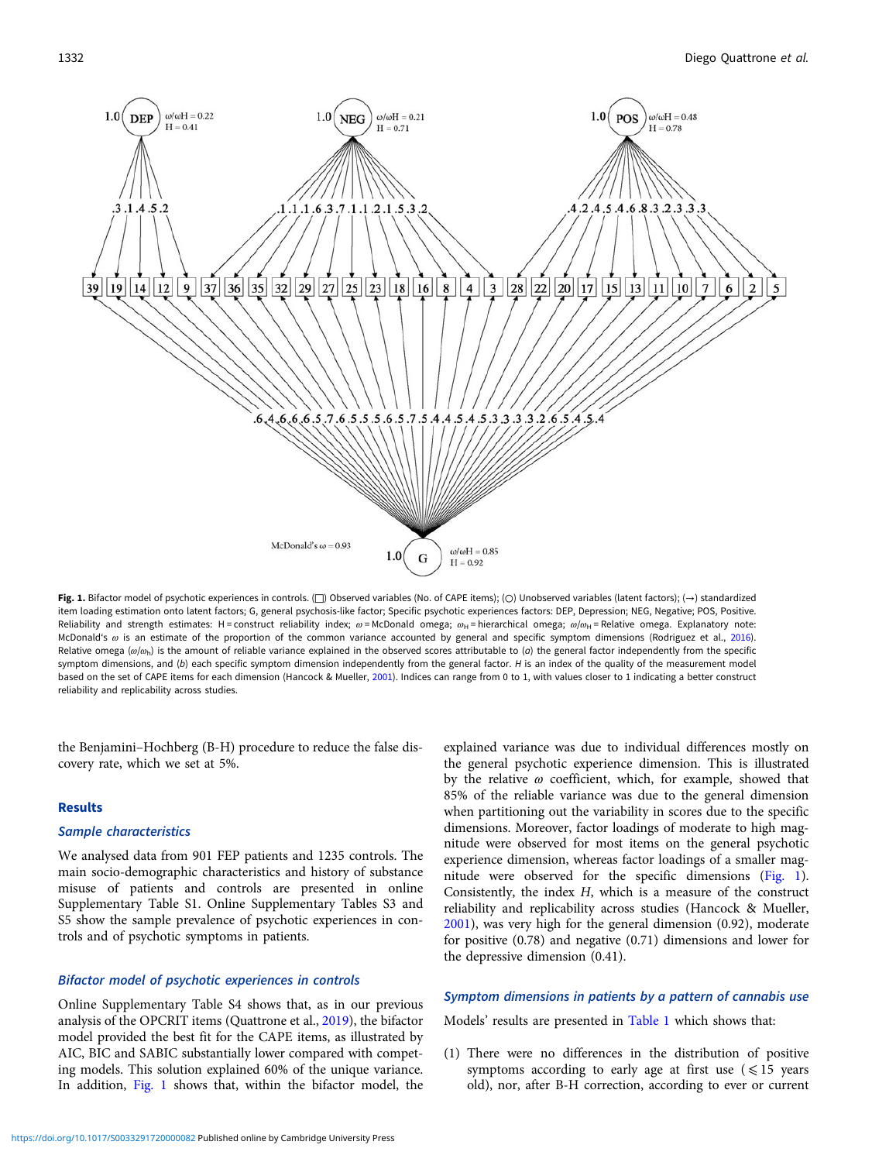

Fig. 1. Bifactor model of psychotic experiences in controls. (□) Observed variables (No. of CAPE items); (○) Unobserved variables (latent factors); (→) standardized item loading estimation onto latent factors; G, general psychosis-like factor; Specific psychotic experiences factors: DEP, Depression; NEG, Negative; POS, Positive. Reliability and strength estimates: H = construct reliability index;  $\omega$  = McDonald omega;  $\omega_H$  = hierarchical omega;  $\omega/\omega_H$  = Relative omega. Explanatory note: McDonald's ω is an estimate of the proportion of the common variance accounted by general and specific symptom dimensions (Rodriguez et al., [2016\)](#page-7-0). Relative omega ( $\omega/\omega_{\rm h}$ ) is the amount of reliable variance explained in the observed scores attributable to (a) the general factor independently from the specific symptom dimensions, and (b) each specific symptom dimension independently from the general factor. H is an index of the quality of the measurement model based on the set of CAPE items for each dimension (Hancock & Mueller, [2001](#page-7-0)). Indices can range from 0 to 1, with values closer to 1 indicating a better construct reliability and replicability across studies.

the Benjamini–Hochberg (B-H) procedure to reduce the false discovery rate, which we set at 5%.

# Results

#### Sample characteristics

We analysed data from 901 FEP patients and 1235 controls. The main socio-demographic characteristics and history of substance misuse of patients and controls are presented in online Supplementary Table S1. Online Supplementary Tables S3 and S5 show the sample prevalence of psychotic experiences in controls and of psychotic symptoms in patients.

# Bifactor model of psychotic experiences in controls

Online Supplementary Table S4 shows that, as in our previous analysis of the OPCRIT items (Quattrone et al., [2019](#page-7-0)), the bifactor model provided the best fit for the CAPE items, as illustrated by AIC, BIC and SABIC substantially lower compared with competing models. This solution explained 60% of the unique variance. In addition, Fig. 1 shows that, within the bifactor model, the explained variance was due to individual differences mostly on the general psychotic experience dimension. This is illustrated by the relative  $\omega$  coefficient, which, for example, showed that 85% of the reliable variance was due to the general dimension when partitioning out the variability in scores due to the specific dimensions. Moreover, factor loadings of moderate to high magnitude were observed for most items on the general psychotic experience dimension, whereas factor loadings of a smaller magnitude were observed for the specific dimensions (Fig. 1). Consistently, the index H, which is a measure of the construct reliability and replicability across studies (Hancock & Mueller, [2001\)](#page-7-0), was very high for the general dimension (0.92), moderate for positive (0.78) and negative (0.71) dimensions and lower for the depressive dimension (0.41).

#### Symptom dimensions in patients by a pattern of cannabis use

Models' results are presented in [Table 1](#page-4-0) which shows that:

(1) There were no differences in the distribution of positive symptoms according to early age at first use  $(\leq 15$  years old), nor, after B-H correction, according to ever or current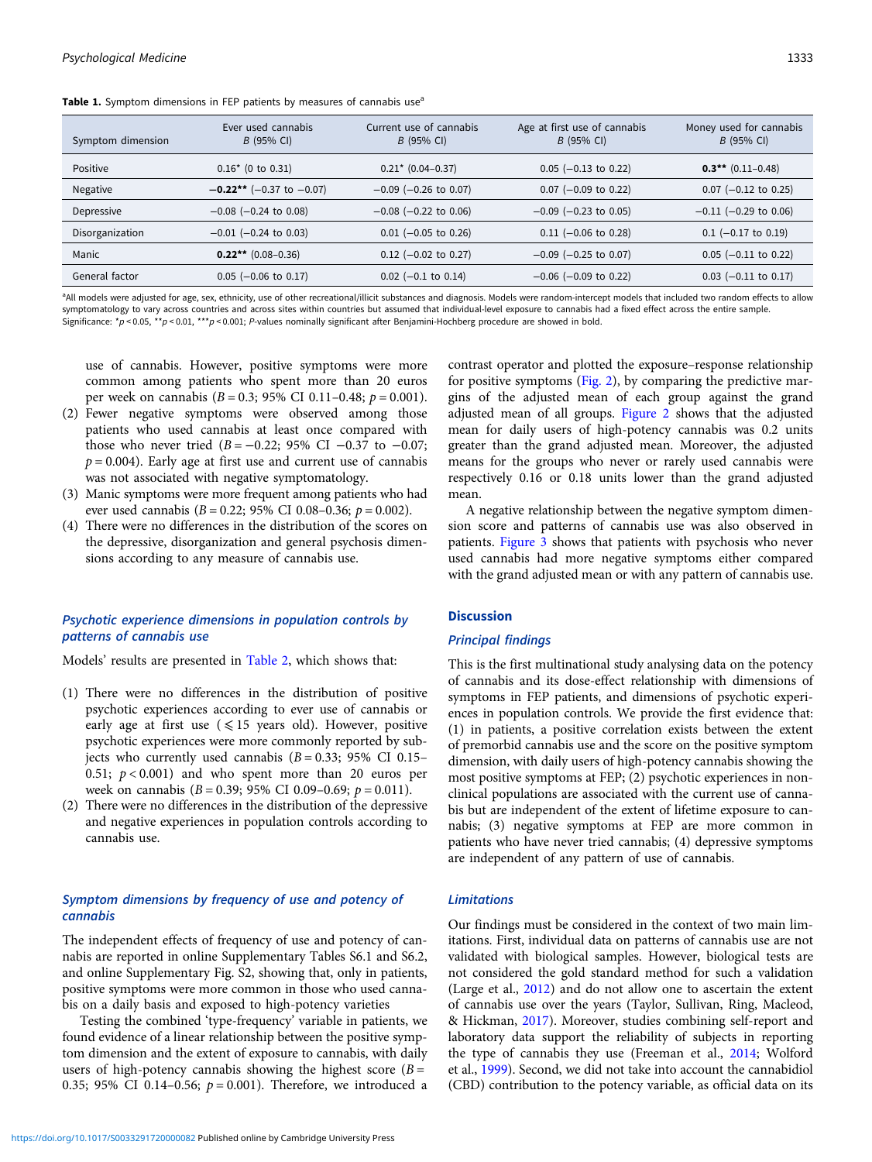<span id="page-4-0"></span>Table 1. Symptom dimensions in FEP patients by measures of cannabis use<sup>a</sup>

| Symptom dimension | Ever used cannabis<br>$B$ (95% CI) | Current use of cannabis<br>$B(95% \text{ Cl})$ | Age at first use of cannabis<br>$B$ (95% CI) | Money used for cannabis<br>$B(95% \text{ Cl})$ |
|-------------------|------------------------------------|------------------------------------------------|----------------------------------------------|------------------------------------------------|
| Positive          | $0.16*$ (0 to 0.31)                | $0.21* (0.04 - 0.37)$                          | $0.05$ (-0.13 to 0.22)                       | $0.3$ ** (0.11–0.48)                           |
| Negative          | $-0.22**$ (-0.37 to -0.07)         | $-0.09$ ( $-0.26$ to 0.07)                     | $0.07$ (-0.09 to 0.22)                       | $0.07$ (-0.12 to 0.25)                         |
| Depressive        | $-0.08$ ( $-0.24$ to 0.08)         | $-0.08$ ( $-0.22$ to 0.06)                     | $-0.09$ ( $-0.23$ to 0.05)                   | $-0.11$ ( $-0.29$ to 0.06)                     |
| Disorganization   | $-0.01$ ( $-0.24$ to 0.03)         | $0.01$ (-0.05 to 0.26)                         | $0.11$ (-0.06 to 0.28)                       | $0.1$ (-0.17 to 0.19)                          |
| Manic             | $0.22**$ (0.08–0.36)               | $0.12$ (-0.02 to 0.27)                         | $-0.09$ ( $-0.25$ to 0.07)                   | $0.05$ (-0.11 to 0.22)                         |
| General factor    | $0.05$ (-0.06 to 0.17)             | $0.02$ (-0.1 to 0.14)                          | $-0.06$ ( $-0.09$ to 0.22)                   | $0.03$ (-0.11 to 0.17)                         |

<sup>a</sup>All models were adjusted for age, sex, ethnicity, use of other recreational/illicit substances and diagnosis. Models were random-intercept models that included two random effects to allow symptomatology to vary across countries and across sites within countries but assumed that individual-level exposure to cannabis had a fixed effect across the entire sample. Significance:  $p < 0.05$ , \*\*p < 0.01, \*\*p < 0.001; P-values nominally significant after Benjamini-Hochberg procedure are showed in bold.

use of cannabis. However, positive symptoms were more common among patients who spent more than 20 euros per week on cannabis ( $B = 0.3$ ; 95% CI 0.11–0.48;  $p = 0.001$ ).

- (2) Fewer negative symptoms were observed among those patients who used cannabis at least once compared with those who never tried  $(B = -0.22; 95\% \text{ CI} -0.37 \text{ to } -0.07;$  $p = 0.004$ ). Early age at first use and current use of cannabis was not associated with negative symptomatology.
- (3) Manic symptoms were more frequent among patients who had ever used cannabis ( $B = 0.22$ ; 95% CI 0.08–0.36;  $p = 0.002$ ).
- (4) There were no differences in the distribution of the scores on the depressive, disorganization and general psychosis dimensions according to any measure of cannabis use.

# Psychotic experience dimensions in population controls by patterns of cannabis use

Models' results are presented in [Table 2](#page-5-0), which shows that:

- (1) There were no differences in the distribution of positive psychotic experiences according to ever use of cannabis or early age at first use  $(\leq 15$  years old). However, positive psychotic experiences were more commonly reported by subjects who currently used cannabis  $(B = 0.33; 95\% \text{ CI } 0.15-$ 0.51;  $p < 0.001$ ) and who spent more than 20 euros per week on cannabis ( $B = 0.39$ ; 95% CI 0.09–0.69;  $p = 0.011$ ).
- (2) There were no differences in the distribution of the depressive and negative experiences in population controls according to cannabis use.

# Symptom dimensions by frequency of use and potency of cannabis

The independent effects of frequency of use and potency of cannabis are reported in online Supplementary Tables S6.1 and S6.2, and online Supplementary Fig. S2, showing that, only in patients, positive symptoms were more common in those who used cannabis on a daily basis and exposed to high-potency varieties

Testing the combined 'type-frequency' variable in patients, we found evidence of a linear relationship between the positive symptom dimension and the extent of exposure to cannabis, with daily users of high-potency cannabis showing the highest score  $(B =$ 0.35; 95% CI 0.14-0.56;  $p = 0.001$ ). Therefore, we introduced a contrast operator and plotted the exposure–response relationship for positive symptoms [\(Fig. 2](#page-5-0)), by comparing the predictive margins of the adjusted mean of each group against the grand adjusted mean of all groups. [Figure 2](#page-5-0) shows that the adjusted mean for daily users of high-potency cannabis was 0.2 units greater than the grand adjusted mean. Moreover, the adjusted means for the groups who never or rarely used cannabis were respectively 0.16 or 0.18 units lower than the grand adjusted mean.

A negative relationship between the negative symptom dimension score and patterns of cannabis use was also observed in patients. [Figure 3](#page-6-0) shows that patients with psychosis who never used cannabis had more negative symptoms either compared with the grand adjusted mean or with any pattern of cannabis use.

# **Discussion**

# Principal findings

This is the first multinational study analysing data on the potency of cannabis and its dose-effect relationship with dimensions of symptoms in FEP patients, and dimensions of psychotic experiences in population controls. We provide the first evidence that: (1) in patients, a positive correlation exists between the extent of premorbid cannabis use and the score on the positive symptom dimension, with daily users of high-potency cannabis showing the most positive symptoms at FEP; (2) psychotic experiences in nonclinical populations are associated with the current use of cannabis but are independent of the extent of lifetime exposure to cannabis; (3) negative symptoms at FEP are more common in patients who have never tried cannabis; (4) depressive symptoms are independent of any pattern of use of cannabis.

# Limitations

Our findings must be considered in the context of two main limitations. First, individual data on patterns of cannabis use are not validated with biological samples. However, biological tests are not considered the gold standard method for such a validation (Large et al., [2012\)](#page-7-0) and do not allow one to ascertain the extent of cannabis use over the years (Taylor, Sullivan, Ring, Macleod, & Hickman, [2017](#page-8-0)). Moreover, studies combining self-report and laboratory data support the reliability of subjects in reporting the type of cannabis they use (Freeman et al., [2014;](#page-7-0) Wolford et al., [1999\)](#page-8-0). Second, we did not take into account the cannabidiol (CBD) contribution to the potency variable, as official data on its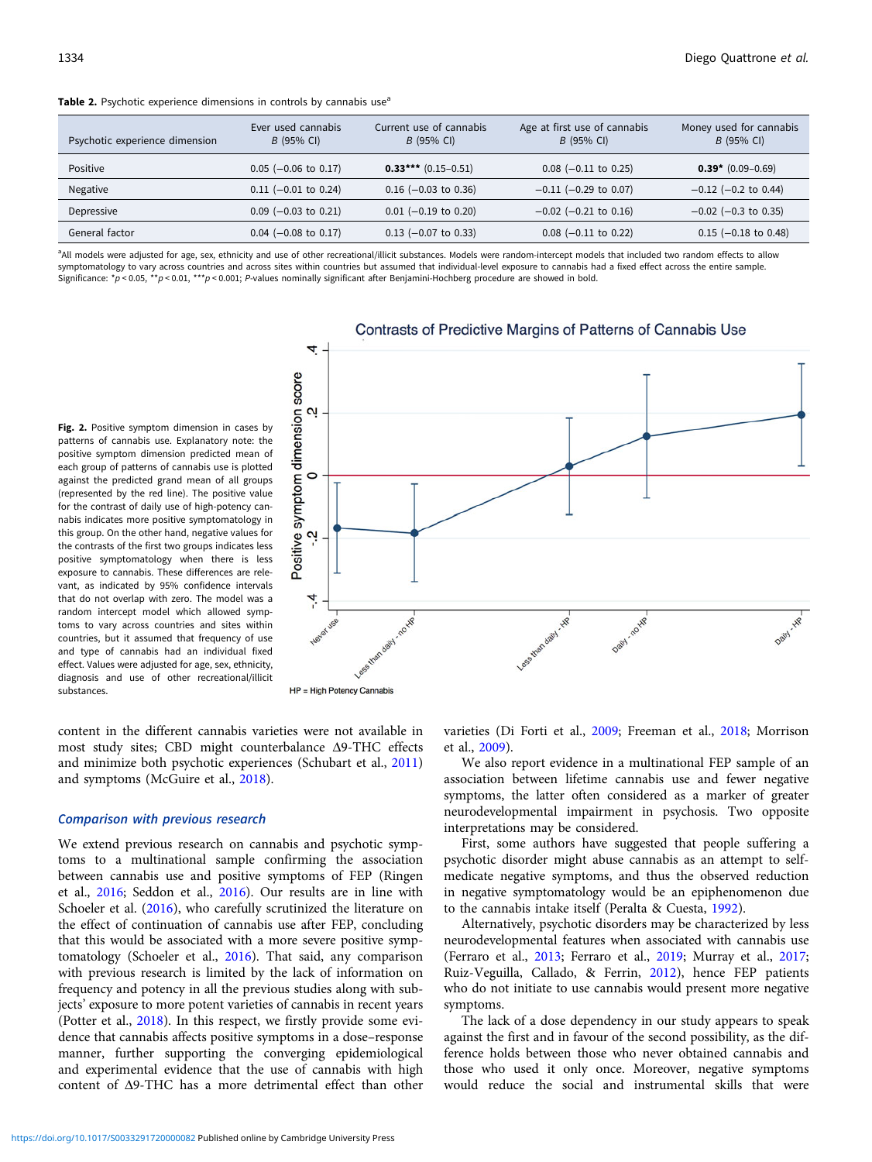<span id="page-5-0"></span>Table 2. Psychotic experience dimensions in controls by cannabis use<sup>a</sup>

| Psychotic experience dimension | Ever used cannabis<br>$B$ (95% CI) | Current use of cannabis<br>$B(95% \text{ Cl})$ | Age at first use of cannabis<br>B (95% CI) | Money used for cannabis<br>$B(95% \text{ Cl})$ |
|--------------------------------|------------------------------------|------------------------------------------------|--------------------------------------------|------------------------------------------------|
| Positive                       | $0.05$ (-0.06 to 0.17)             | $0.33***$ (0.15-0.51)                          | $0.08$ (-0.11 to 0.25)                     | $0.39* (0.09-0.69)$                            |
| Negative                       | $0.11$ (-0.01 to 0.24)             | $0.16$ (-0.03 to 0.36)                         | $-0.11$ (-0.29 to 0.07)                    | $-0.12$ (-0.2 to 0.44)                         |
| Depressive                     | $0.09$ (-0.03 to 0.21)             | $0.01$ (-0.19 to 0.20)                         | $-0.02$ ( $-0.21$ to 0.16)                 | $-0.02$ ( $-0.3$ to 0.35)                      |
| General factor                 | $0.04$ (-0.08 to 0.17)             | $0.13$ (-0.07 to 0.33)                         | $0.08$ (-0.11 to 0.22)                     | $0.15$ (-0.18 to 0.48)                         |

<sup>a</sup>All models were adjusted for age, sex, ethnicity and use of other recreational/illicit substances. Models were random-intercept models that included two random effects to allow symptomatology to vary across countries and across sites within countries but assumed that individual-level exposure to cannabis had a fixed effect across the entire sample. Significance:  $*p < 0.05$ ,  $*p < 0.01$ ,  $**p < 0.001$ ; P-values nominally significant after Benjamini-Hochberg procedure are showed in bold.

> 4 dimension score  $\mathbf{\Omega}$  $\overline{C}$ symptom Positive Ń

Fig. 2. Positive symptom dimension in cases by patterns of cannabis use. Explanatory note: the positive symptom dimension predicted mean of each group of patterns of cannabis use is plotted against the predicted grand mean of all groups (represented by the red line). The positive value for the contrast of daily use of high-potency cannabis indicates more positive symptomatology in this group. On the other hand, negative values for the contrasts of the first two groups indicates less positive symptomatology when there is less exposure to cannabis. These differences are relevant, as indicated by 95% confidence intervals that do not overlap with zero. The model was a random intercept model which allowed symptoms to vary across countries and sites within countries, but it assumed that frequency of use and type of cannabis had an individual fixed effect. Values were adjusted for age, sex, ethnicity, diagnosis and use of other recreational/illicit substances.

HP = High Potency Cannabis

content in the different cannabis varieties were not available in most study sites; CBD might counterbalance Δ9-THC effects and minimize both psychotic experiences (Schubart et al., [2011\)](#page-7-0) and symptoms (McGuire et al., [2018\)](#page-7-0).

#### Comparison with previous research

We extend previous research on cannabis and psychotic symptoms to a multinational sample confirming the association between cannabis use and positive symptoms of FEP (Ringen et al., [2016](#page-7-0); Seddon et al., [2016\)](#page-7-0). Our results are in line with Schoeler et al. [\(2016](#page-7-0)), who carefully scrutinized the literature on the effect of continuation of cannabis use after FEP, concluding that this would be associated with a more severe positive symptomatology (Schoeler et al., [2016\)](#page-7-0). That said, any comparison with previous research is limited by the lack of information on frequency and potency in all the previous studies along with subjects' exposure to more potent varieties of cannabis in recent years (Potter et al., [2018\)](#page-7-0). In this respect, we firstly provide some evidence that cannabis affects positive symptoms in a dose–response manner, further supporting the converging epidemiological and experimental evidence that the use of cannabis with high content of Δ9-THC has a more detrimental effect than other

varieties (Di Forti et al., [2009](#page-7-0); Freeman et al., [2018](#page-7-0); Morrison et al., [2009](#page-7-0)).

We also report evidence in a multinational FEP sample of an association between lifetime cannabis use and fewer negative symptoms, the latter often considered as a marker of greater neurodevelopmental impairment in psychosis. Two opposite interpretations may be considered.

First, some authors have suggested that people suffering a psychotic disorder might abuse cannabis as an attempt to selfmedicate negative symptoms, and thus the observed reduction in negative symptomatology would be an epiphenomenon due to the cannabis intake itself (Peralta & Cuesta, [1992](#page-7-0)).

Alternatively, psychotic disorders may be characterized by less neurodevelopmental features when associated with cannabis use (Ferraro et al., [2013](#page-7-0); Ferraro et al., [2019;](#page-7-0) Murray et al., [2017;](#page-7-0) Ruiz-Veguilla, Callado, & Ferrin, [2012](#page-7-0)), hence FEP patients who do not initiate to use cannabis would present more negative symptoms.

The lack of a dose dependency in our study appears to speak against the first and in favour of the second possibility, as the difference holds between those who never obtained cannabis and those who used it only once. Moreover, negative symptoms would reduce the social and instrumental skills that were

# Contrasts of Predictive Margins of Patterns of Cannabis Use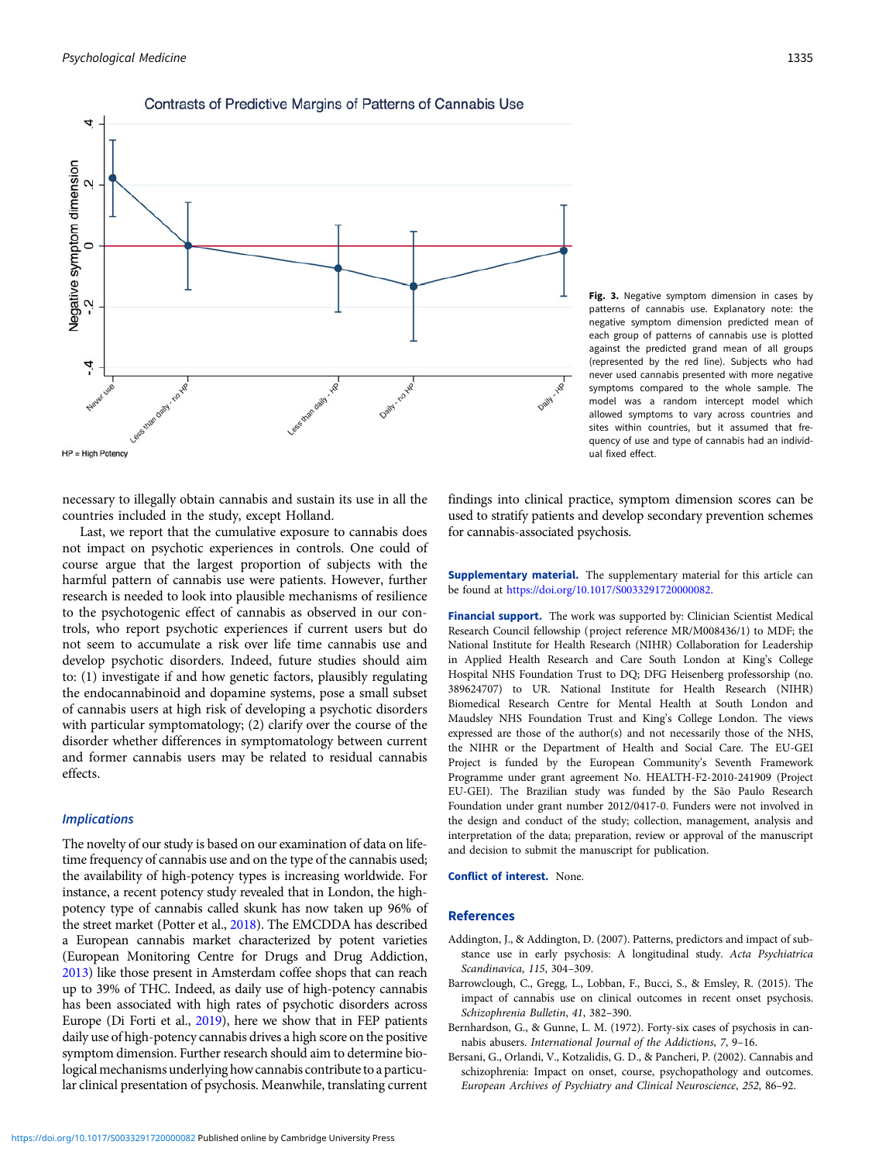<span id="page-6-0"></span>

#### Contrasts of Predictive Margins of Patterns of Cannabis Use

Fig. 3. Negative symptom dimension in cases by patterns of cannabis use. Explanatory note: the negative symptom dimension predicted mean of each group of patterns of cannabis use is plotted against the predicted grand mean of all groups (represented by the red line). Subjects who had never used cannabis presented with more negative symptoms compared to the whole sample. The model was a random intercept model which allowed symptoms to vary across countries and sites within countries, but it assumed that frequency of use and type of cannabis had an individual fixed effect.

necessary to illegally obtain cannabis and sustain its use in all the countries included in the study, except Holland.

Last, we report that the cumulative exposure to cannabis does not impact on psychotic experiences in controls. One could of course argue that the largest proportion of subjects with the harmful pattern of cannabis use were patients. However, further research is needed to look into plausible mechanisms of resilience to the psychotogenic effect of cannabis as observed in our controls, who report psychotic experiences if current users but do not seem to accumulate a risk over life time cannabis use and develop psychotic disorders. Indeed, future studies should aim to: (1) investigate if and how genetic factors, plausibly regulating the endocannabinoid and dopamine systems, pose a small subset of cannabis users at high risk of developing a psychotic disorders with particular symptomatology; (2) clarify over the course of the disorder whether differences in symptomatology between current and former cannabis users may be related to residual cannabis effects.

## **Implications**

The novelty of our study is based on our examination of data on lifetime frequency of cannabis use and on the type of the cannabis used; the availability of high-potency types is increasing worldwide. For instance, a recent potency study revealed that in London, the highpotency type of cannabis called skunk has now taken up 96% of the street market (Potter et al., [2018](#page-7-0)). The EMCDDA has described a European cannabis market characterized by potent varieties (European Monitoring Centre for Drugs and Drug Addiction, [2013](#page-7-0)) like those present in Amsterdam coffee shops that can reach up to 39% of THC. Indeed, as daily use of high-potency cannabis has been associated with high rates of psychotic disorders across Europe (Di Forti et al., [2019\)](#page-7-0), here we show that in FEP patients daily use of high-potency cannabis drives a high score on the positive symptom dimension. Further research should aim to determine biological mechanisms underlying how cannabis contribute to a particular clinical presentation of psychosis. Meanwhile, translating current

findings into clinical practice, symptom dimension scores can be used to stratify patients and develop secondary prevention schemes for cannabis-associated psychosis.

Supplementary material. The supplementary material for this article can be found at [https://doi.org/10.1017/S0033291720000082.](https://doi.org/10.1017/S0033291720000082)

Financial support. The work was supported by: Clinician Scientist Medical Research Council fellowship (project reference MR/M008436/1) to MDF; the National Institute for Health Research (NIHR) Collaboration for Leadership in Applied Health Research and Care South London at King's College Hospital NHS Foundation Trust to DQ; DFG Heisenberg professorship (no. 389624707) to UR. National Institute for Health Research (NIHR) Biomedical Research Centre for Mental Health at South London and Maudsley NHS Foundation Trust and King's College London. The views expressed are those of the author(s) and not necessarily those of the NHS, the NIHR or the Department of Health and Social Care. The EU-GEI Project is funded by the European Community's Seventh Framework Programme under grant agreement No. HEALTH-F2-2010-241909 (Project EU-GEI). The Brazilian study was funded by the São Paulo Research Foundation under grant number 2012/0417-0. Funders were not involved in the design and conduct of the study; collection, management, analysis and interpretation of the data; preparation, review or approval of the manuscript and decision to submit the manuscript for publication.

#### Conflict of interest. None.

#### References

- Addington, J., & Addington, D. (2007). Patterns, predictors and impact of substance use in early psychosis: A longitudinal study. Acta Psychiatrica Scandinavica, 115, 304–309.
- Barrowclough, C., Gregg, L., Lobban, F., Bucci, S., & Emsley, R. (2015). The impact of cannabis use on clinical outcomes in recent onset psychosis. Schizophrenia Bulletin, 41, 382–390.
- Bernhardson, G., & Gunne, L. M. (1972). Forty-six cases of psychosis in cannabis abusers. International Journal of the Addictions, 7, 9–16.
- Bersani, G., Orlandi, V., Kotzalidis, G. D., & Pancheri, P. (2002). Cannabis and schizophrenia: Impact on onset, course, psychopathology and outcomes. European Archives of Psychiatry and Clinical Neuroscience, 252, 86–92.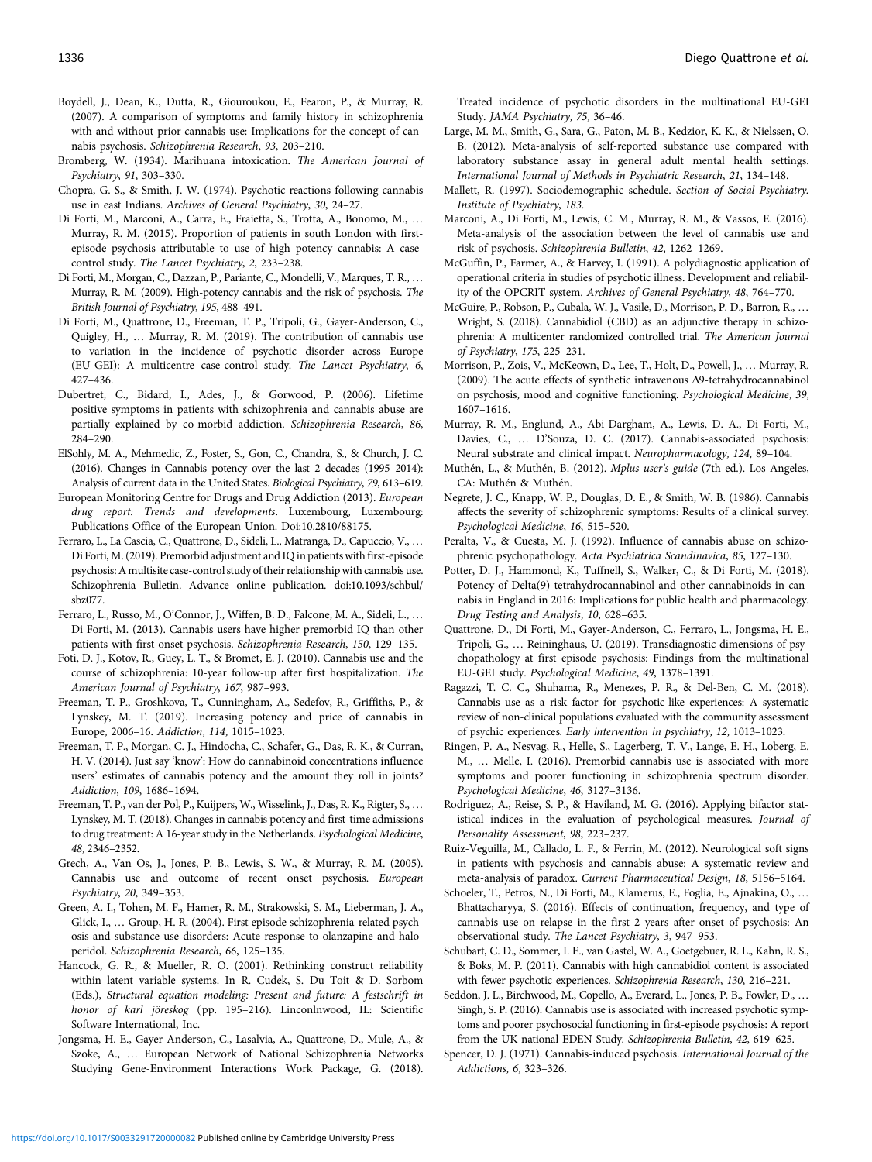- <span id="page-7-0"></span>Boydell, J., Dean, K., Dutta, R., Giouroukou, E., Fearon, P., & Murray, R. (2007). A comparison of symptoms and family history in schizophrenia with and without prior cannabis use: Implications for the concept of cannabis psychosis. Schizophrenia Research, 93, 203–210.
- Bromberg, W. (1934). Marihuana intoxication. The American Journal of Psychiatry, 91, 303–330.
- Chopra, G. S., & Smith, J. W. (1974). Psychotic reactions following cannabis use in east Indians. Archives of General Psychiatry, 30, 24–27.
- Di Forti, M., Marconi, A., Carra, E., Fraietta, S., Trotta, A., Bonomo, M., … Murray, R. M. (2015). Proportion of patients in south London with firstepisode psychosis attributable to use of high potency cannabis: A casecontrol study. The Lancet Psychiatry, 2, 233–238.
- Di Forti, M., Morgan, C., Dazzan, P., Pariante, C., Mondelli, V., Marques, T. R., … Murray, R. M. (2009). High-potency cannabis and the risk of psychosis. The British Journal of Psychiatry, 195, 488–491.
- Di Forti, M., Quattrone, D., Freeman, T. P., Tripoli, G., Gayer-Anderson, C., Quigley, H., … Murray, R. M. (2019). The contribution of cannabis use to variation in the incidence of psychotic disorder across Europe (EU-GEI): A multicentre case-control study. The Lancet Psychiatry, 6, 427–436.
- Dubertret, C., Bidard, I., Ades, J., & Gorwood, P. (2006). Lifetime positive symptoms in patients with schizophrenia and cannabis abuse are partially explained by co-morbid addiction. Schizophrenia Research, 86, 284–290.
- ElSohly, M. A., Mehmedic, Z., Foster, S., Gon, C., Chandra, S., & Church, J. C. (2016). Changes in Cannabis potency over the last 2 decades (1995–2014): Analysis of current data in the United States. Biological Psychiatry, 79, 613–619.
- European Monitoring Centre for Drugs and Drug Addiction (2013). European drug report: Trends and developments. Luxembourg, Luxembourg: Publications Office of the European Union. Doi:10.2810/88175.
- Ferraro, L., La Cascia, C., Quattrone, D., Sideli, L., Matranga, D., Capuccio, V., … Di Forti, M. (2019). Premorbid adjustment and IQ in patients with first-episode psychosis:A multisite case-control study of their relationship with cannabis use. Schizophrenia Bulletin. Advance online publication. doi:10.1093/schbul/ sbz077.
- Ferraro, L., Russo, M., O'Connor, J., Wiffen, B. D., Falcone, M. A., Sideli, L., … Di Forti, M. (2013). Cannabis users have higher premorbid IQ than other patients with first onset psychosis. Schizophrenia Research, 150, 129–135.
- Foti, D. J., Kotov, R., Guey, L. T., & Bromet, E. J. (2010). Cannabis use and the course of schizophrenia: 10-year follow-up after first hospitalization. The American Journal of Psychiatry, 167, 987–993.
- Freeman, T. P., Groshkova, T., Cunningham, A., Sedefov, R., Griffiths, P., & Lynskey, M. T. (2019). Increasing potency and price of cannabis in Europe, 2006–16. Addiction, 114, 1015–1023.
- Freeman, T. P., Morgan, C. J., Hindocha, C., Schafer, G., Das, R. K., & Curran, H. V. (2014). Just say 'know': How do cannabinoid concentrations influence users' estimates of cannabis potency and the amount they roll in joints? Addiction, 109, 1686–1694.
- Freeman, T. P., van der Pol, P., Kuijpers, W., Wisselink, J., Das, R. K., Rigter, S., … Lynskey, M. T. (2018). Changes in cannabis potency and first-time admissions to drug treatment: A 16-year study in the Netherlands. Psychological Medicine, 48, 2346–2352.
- Grech, A., Van Os, J., Jones, P. B., Lewis, S. W., & Murray, R. M. (2005). Cannabis use and outcome of recent onset psychosis. European Psychiatry, 20, 349–353.
- Green, A. I., Tohen, M. F., Hamer, R. M., Strakowski, S. M., Lieberman, J. A., Glick, I., … Group, H. R. (2004). First episode schizophrenia-related psychosis and substance use disorders: Acute response to olanzapine and haloperidol. Schizophrenia Research, 66, 125–135.
- Hancock, G. R., & Mueller, R. O. (2001). Rethinking construct reliability within latent variable systems. In R. Cudek, S. Du Toit & D. Sorbom (Eds.), Structural equation modeling: Present and future: A festschrift in honor of karl jöreskog (pp. 195–216). Linconlnwood, IL: Scientific Software International, Inc.
- Jongsma, H. E., Gayer-Anderson, C., Lasalvia, A., Quattrone, D., Mule, A., & Szoke, A., … European Network of National Schizophrenia Networks Studying Gene-Environment Interactions Work Package, G. (2018).

Treated incidence of psychotic disorders in the multinational EU-GEI Study. JAMA Psychiatry, 75, 36–46.

- Large, M. M., Smith, G., Sara, G., Paton, M. B., Kedzior, K. K., & Nielssen, O. B. (2012). Meta-analysis of self-reported substance use compared with laboratory substance assay in general adult mental health settings. International Journal of Methods in Psychiatric Research, 21, 134–148.
- Mallett, R. (1997). Sociodemographic schedule. Section of Social Psychiatry. Institute of Psychiatry, 183.
- Marconi, A., Di Forti, M., Lewis, C. M., Murray, R. M., & Vassos, E. (2016). Meta-analysis of the association between the level of cannabis use and risk of psychosis. Schizophrenia Bulletin, 42, 1262–1269.
- McGuffin, P., Farmer, A., & Harvey, I. (1991). A polydiagnostic application of operational criteria in studies of psychotic illness. Development and reliability of the OPCRIT system. Archives of General Psychiatry, 48, 764–770.
- McGuire, P., Robson, P., Cubala, W. J., Vasile, D., Morrison, P. D., Barron, R., … Wright, S. (2018). Cannabidiol (CBD) as an adjunctive therapy in schizophrenia: A multicenter randomized controlled trial. The American Journal of Psychiatry, 175, 225–231.
- Morrison, P., Zois, V., McKeown, D., Lee, T., Holt, D., Powell, J., … Murray, R. (2009). The acute effects of synthetic intravenous Δ9-tetrahydrocannabinol on psychosis, mood and cognitive functioning. Psychological Medicine, 39, 1607–1616.
- Murray, R. M., Englund, A., Abi-Dargham, A., Lewis, D. A., Di Forti, M., Davies, C., … D'Souza, D. C. (2017). Cannabis-associated psychosis: Neural substrate and clinical impact. Neuropharmacology, 124, 89–104.
- Muthén, L., & Muthén, B. (2012). Mplus user's guide (7th ed.). Los Angeles, CA: Muthén & Muthén.
- Negrete, J. C., Knapp, W. P., Douglas, D. E., & Smith, W. B. (1986). Cannabis affects the severity of schizophrenic symptoms: Results of a clinical survey. Psychological Medicine, 16, 515–520.
- Peralta, V., & Cuesta, M. J. (1992). Influence of cannabis abuse on schizophrenic psychopathology. Acta Psychiatrica Scandinavica, 85, 127–130.
- Potter, D. J., Hammond, K., Tuffnell, S., Walker, C., & Di Forti, M. (2018). Potency of Delta(9)-tetrahydrocannabinol and other cannabinoids in cannabis in England in 2016: Implications for public health and pharmacology. Drug Testing and Analysis, 10, 628–635.
- Quattrone, D., Di Forti, M., Gayer-Anderson, C., Ferraro, L., Jongsma, H. E., Tripoli, G., … Reininghaus, U. (2019). Transdiagnostic dimensions of psychopathology at first episode psychosis: Findings from the multinational EU-GEI study. Psychological Medicine, 49, 1378–1391.
- Ragazzi, T. C. C., Shuhama, R., Menezes, P. R., & Del-Ben, C. M. (2018). Cannabis use as a risk factor for psychotic-like experiences: A systematic review of non-clinical populations evaluated with the community assessment of psychic experiences. Early intervention in psychiatry, 12, 1013–1023.
- Ringen, P. A., Nesvag, R., Helle, S., Lagerberg, T. V., Lange, E. H., Loberg, E. M., … Melle, I. (2016). Premorbid cannabis use is associated with more symptoms and poorer functioning in schizophrenia spectrum disorder. Psychological Medicine, 46, 3127–3136.
- Rodriguez, A., Reise, S. P., & Haviland, M. G. (2016). Applying bifactor statistical indices in the evaluation of psychological measures. Journal of Personality Assessment, 98, 223–237.
- Ruiz-Veguilla, M., Callado, L. F., & Ferrin, M. (2012). Neurological soft signs in patients with psychosis and cannabis abuse: A systematic review and meta-analysis of paradox. Current Pharmaceutical Design, 18, 5156–5164.
- Schoeler, T., Petros, N., Di Forti, M., Klamerus, E., Foglia, E., Ajnakina, O., … Bhattacharyya, S. (2016). Effects of continuation, frequency, and type of cannabis use on relapse in the first 2 years after onset of psychosis: An observational study. The Lancet Psychiatry, 3, 947–953.
- Schubart, C. D., Sommer, I. E., van Gastel, W. A., Goetgebuer, R. L., Kahn, R. S., & Boks, M. P. (2011). Cannabis with high cannabidiol content is associated with fewer psychotic experiences. Schizophrenia Research, 130, 216–221.
- Seddon, J. L., Birchwood, M., Copello, A., Everard, L., Jones, P. B., Fowler, D., … Singh, S. P. (2016). Cannabis use is associated with increased psychotic symptoms and poorer psychosocial functioning in first-episode psychosis: A report from the UK national EDEN Study. Schizophrenia Bulletin, 42, 619–625.
- Spencer, D. J. (1971). Cannabis-induced psychosis. International Journal of the Addictions, 6, 323–326.